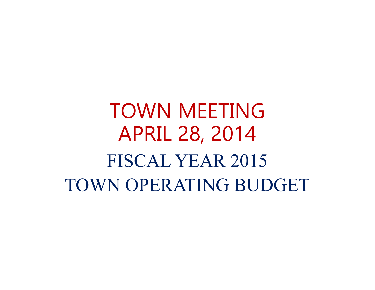TOWN MEETINGAPRIL 28, 2014 FISCAL YEAR 2015 TOWN OPERATING BUDGET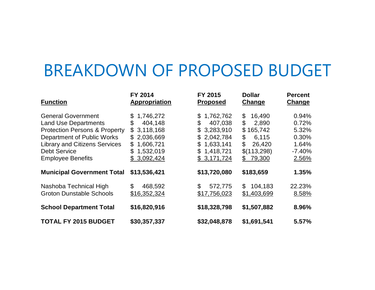# BREAKDOWN OF PROPOSED BUDGET

| <b>Function</b>                                                                                                                                                                                                               | FY 2014<br>Appropriation                                                                                                                    | FY 2015<br><b>Proposed</b>                                                                                                  | <b>Dollar</b><br>Change                                                                                    | <b>Percent</b><br><b>Change</b>                                |
|-------------------------------------------------------------------------------------------------------------------------------------------------------------------------------------------------------------------------------|---------------------------------------------------------------------------------------------------------------------------------------------|-----------------------------------------------------------------------------------------------------------------------------|------------------------------------------------------------------------------------------------------------|----------------------------------------------------------------|
| <b>General Government</b><br><b>Land Use Departments</b><br><b>Protection Persons &amp; Property</b><br>Department of Public Works<br><b>Library and Citizens Services</b><br><b>Debt Service</b><br><b>Employee Benefits</b> | 1,746,272<br>\$<br>404,148<br>\$<br>3,118,168<br>\$<br>2,036,669<br>\$<br>1,606,721<br>$\mathfrak{L}$<br>1,532,019<br>\$<br>3,092,424<br>\$ | 1,762,762<br>\$<br>407,038<br>\$<br>3,283,910<br>\$<br>2,042,784<br>\$<br>1,633,141<br>\$<br>1,418,721<br>\$<br>\$3,171,724 | 16,490<br>\$<br>\$<br>2,890<br>165,742<br>\$<br>\$<br>6,115<br>\$<br>26,420<br>\$(113,298)<br>79,300<br>\$ | 0.94%<br>0.72%<br>5.32%<br>0.30%<br>1.64%<br>$-7.40%$<br>2.56% |
| <b>Municipal Government Total</b>                                                                                                                                                                                             | \$13,536,421                                                                                                                                | \$13,720,080                                                                                                                | \$183,659                                                                                                  | 1.35%                                                          |
| Nashoba Technical High<br><b>Groton Dunstable Schools</b>                                                                                                                                                                     | \$<br>468,592<br>\$16,352,324                                                                                                               | \$<br>572,775<br>\$17,756,023                                                                                               | 104,183<br>\$<br>\$1,403,699                                                                               | 22.23%<br>8.58%                                                |
| <b>School Department Total</b>                                                                                                                                                                                                | \$16,820,916                                                                                                                                | \$18,328,798                                                                                                                | \$1,507,882                                                                                                | 8.96%                                                          |
| <b>TOTAL FY 2015 BUDGET</b>                                                                                                                                                                                                   | \$30,357,337                                                                                                                                | \$32,048,878                                                                                                                | \$1,691,541                                                                                                | 5.57%                                                          |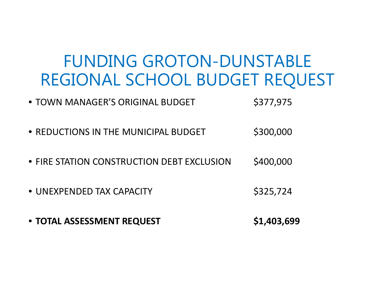# FUNDING GROTON-DUNSTABLE REGIONAL SCHOOL BUDGET REQUEST

- TOWN MANAGER'S ORIGINAL BUDGET \$377,975
- REDUCTIONS IN THE MUNICIPAL BUDGET \$300,000
- **FIRE STATION CONSTRUCTION DEBT EXCLUSION \$400,000**
- UNEXPENDED TAX CAPACITY \$325,724
- **TOTAL ASSESSMENTREQUEST \$1,403,699**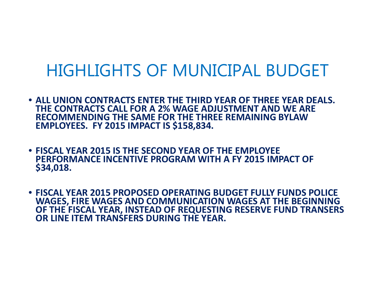#### HIGHLIGHTS OF MUNICIPAL BUDGET

- **ALL UNION CONTRACTS ENTER THE THIRD YEAR OF THREE YEAR DEALS. THE CONTRACTS CALL FORA 2% WAGE ADJUSTMENT AND WE ARE RECOMMENDING THE SAME FOR THE THREE REMAINING BYLAWEMPLOYEES. FY 2015 IMPACT IS \$158,834.**
- **FISCAL YEAR 2015 IS THE SECOND YEAR OF THE EMPLOYEE PERFORMANCE INCENTIVE PROGRAM WITH A FY 2015 IMPACT OF \$34,018.**
- **FISCAL YEAR 2015 PROPOSED OPERATING BUDGET FULLY FUNDS POLICE WAGES, FIRE WAGES AND COMMUNICATION WAGES AT THE BEGINNING OF THE FISCAL YEAR, INSTEAD OF REQUESTING RESERVE FUND TRANSERS OR LINE ITEM TRANSFERS DURING THE YEAR.**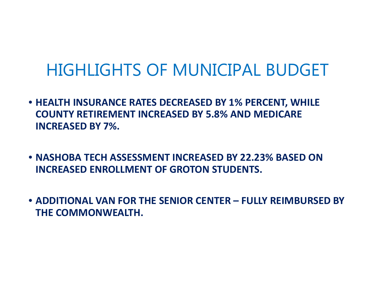# HIGHLIGHTS OF MUNICIPAL BUDGET

- **HEALTH INSURANCE RATES DECREASED BY 1% PERCENT, WHILE COUNTY RETIREMENT INCREASED BY 5.8% AND MEDICARE INCREASED BY 7%.**
- **NASHOBA TECH ASSESSMENT INCREASED BY 22.23% BASED ON INCREASED ENROLLMENT OF GROTON STUDENTS.**
- **ADDITIONAL VAN FOR THE SENIOR CENTER – FULLY REIMBURSED BY THE COMMONWEALTH.**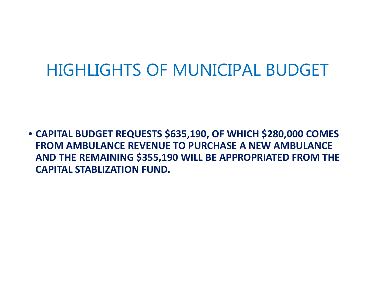# HIGHLIGHTS OF MUNICIPAL BUDGET

• **CAPITAL BUDGET REQUESTS \$635,190, OF WHICH \$280,000 COMES FROM AMBULANCE REVENUE TO PURCHASE A NEW AMBULANCE AND THE REMAINING \$355,190 WILL BE APPROPRIATED FROM THE CAPITAL STABLIZATION FUND.**